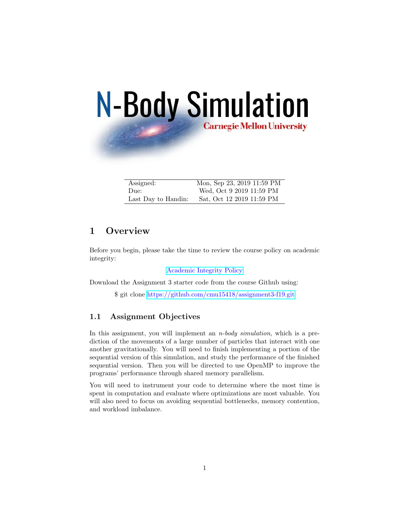# **N-Body Simulation Carnegie Mellon University**

| Assigned:           | Mon, Sep 23, 2019 11:59 PM |
|---------------------|----------------------------|
| Due:                | Wed, Oct 9 2019 11:59 PM   |
| Last Day to Handin: | Sat, Oct 12 2019 11:59 PM  |

# 1 Overview

Before you begin, please take the time to review the course policy on academic integrity:

[Academic Integrity Policy](http://www.cs.cmu.edu/afs/cs.cmu.edu/academic/class/15418-s18/www/academicintegrity.html)

Download the Assignment 3 starter code from the course Github using:

\$ git clone <https://github.com/cmu15418/assignment3-f19.git>

#### 1.1 Assignment Objectives

In this assignment, you will implement an  $n$ -body simulation, which is a prediction of the movements of a large number of particles that interact with one another gravitationally. You will need to finish implementing a portion of the sequential version of this simulation, and study the performance of the finished sequential version. Then you will be directed to use OpenMP to improve the programs' performance through shared memory parallelism.

You will need to instrument your code to determine where the most time is spent in computation and evaluate where optimizations are most valuable. You will also need to focus on avoiding sequential bottlenecks, memory contention, and workload imbalance.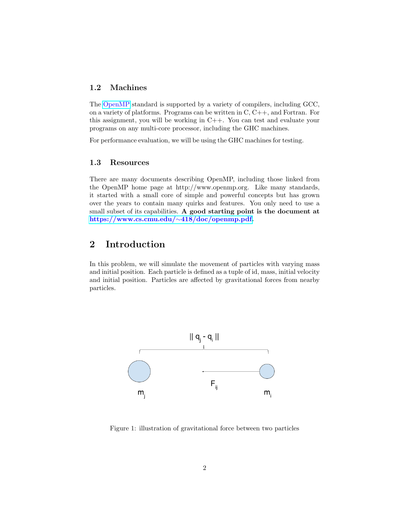#### 1.2 Machines

The [OpenMP](http://www.openmp.org/) standard is supported by a variety of compilers, including GCC, on a variety of platforms. Programs can be written in C, C++, and Fortran. For this assignment, you will be working in C++. You can test and evaluate your programs on any multi-core processor, including the GHC machines.

For performance evaluation, we will be using the GHC machines for testing.

#### 1.3 Resources

There are many documents describing OpenMP, including those linked from the OpenMP home page at http://www.openmp.org. Like many standards, it started with a small core of simple and powerful concepts but has grown over the years to contain many quirks and features. You only need to use a small subset of its capabilities. A good starting point is the document at [https://www.cs.cmu.edu/](https://www.cs.cmu.edu/~418/doc/openmp.pdf)∼418/doc/openmp.pdf.

# 2 Introduction

In this problem, we will simulate the movement of particles with varying mass and initial position. Each particle is defined as a tuple of id, mass, initial velocity and initial position. Particles are affected by gravitational forces from nearby particles.



Figure 1: illustration of gravitational force between two particles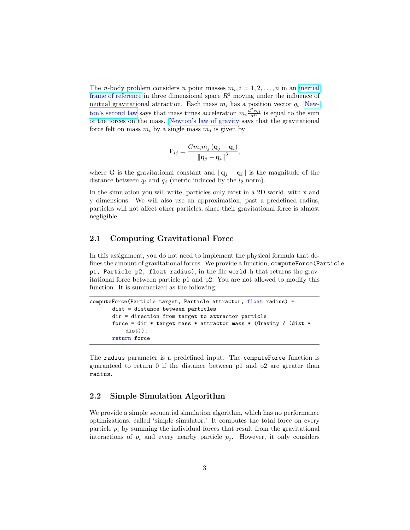The *n*-body problem considers *n* point masses  $m_i$ ,  $i = 1, 2, ..., n$  in an [inertial](https://en.wikipedia.org/wiki/Inertial_frame_of_reference) [frame of reference](https://en.wikipedia.org/wiki/Inertial_frame_of_reference) in three dimensional space  $R<sup>3</sup>$  moving under the influence of mutual gravitational attraction. Each mass  $m_i$  has a position vector  $q_i$ . [New](https://en.wikipedia.org/wiki/Newton%27s_second_law)[ton's second law](https://en.wikipedia.org/wiki/Newton%27s_second_law) says that mass times acceleration  $m_i \frac{d^2 * q_i}{dt^2}$  is equal to the sum of the forces on the mass. [Newton's law of gravity](https://en.wikipedia.org/wiki/Newton%27s_law_of_gravity) says that the gravitational force felt on mass  $m_i$  by a single mass  $m_j$  is given by

$$
\mathbf{F}_{ij} = \frac{Gm_i m_j (\mathbf{q}_j - \mathbf{q}_i)}{\left\| \mathbf{q}_j - \mathbf{q}_i \right\|^3},
$$

where G is the gravitational constant and  $\|\mathbf{q}_j - \mathbf{q}_i\|$  is the magnitude of the distance between  $q_i$  and  $q_j$  (metric induced by the  $l_2$  norm).

In the simulation you will write, particles only exist in a 2D world, with x and y dimensions. We will also use an approximation; past a predefined radius, particles will not affect other particles, since their gravitational force is almost negligible.

#### 2.1 Computing Gravitational Force

In this assignment, you do not need to implement the physical formula that defines the amount of gravitational forces. We provide a function, computeForce(Particle p1, Particle p2, float radius), in the file world.h that returns the gravitational force between particle p1 and p2. You are not allowed to modify this function. It is summarized as the following;

```
computeForce(Particle target, Particle attractor, float radius) =
       dist = distance between particles
       dir = direction from target to attractor particle
       force = dir * target mass * attractor mass * (Gravity / (dist *
           dist));
       return force
```
The radius parameter is a predefined input. The computeForce function is guaranteed to return 0 if the distance between p1 and p2 are greater than radius.

#### 2.2 Simple Simulation Algorithm

We provide a simple sequential simulation algorithm, which has no performance optimizations, called 'simple simulator.' It computes the total force on every particle  $p_i$  by summing the individual forces that result from the gravitational interactions of  $p_i$  and every nearby particle  $p_j$ . However, it only considers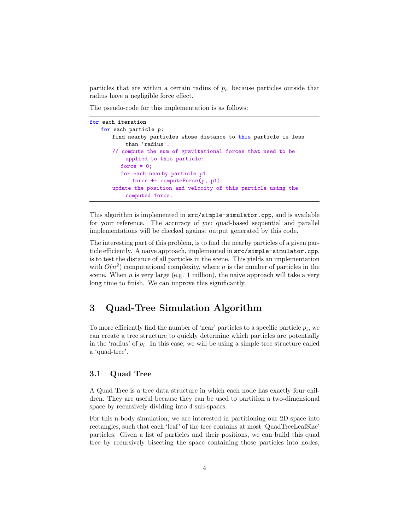particles that are within a certain radius of  $p_i$ , because particles outside that radius have a negligible force effect.

The pseudo-code for this implementation is as follows:

```
for each iteration
   for each particle p:
       find nearby particles whose distance to this particle is less
           than 'radius'.
       // compute the sum of gravitational forces that need to be
           applied to this particle:
          force = 0;
          for each nearby particle p1
             force += computeForce(p, p1);
       update the position and velocity of this particle using the
           computed force.
```
This algorithm is implemented in src/simple-simulator.cpp, and is available for your reference. The accuracy of you quad-based sequential and parallel implementations will be checked against output generated by this code.

The interesting part of this problem, is to find the nearby particles of a given particle efficiently. A naïve approach, implemented in  $src/simple-simulator$ .cpp, is to test the distance of all particles in the scene. This yields an implementation with  $O(n^2)$  computational complexity, where *n* is the number of particles in the scene. When  $n$  is very large (e.g. 1 million), the naive approach will take a very long time to finish. We can improve this significantly.

# 3 Quad-Tree Simulation Algorithm

To more efficiently find the number of 'near' particles to a specific particle  $p_i$ , we can create a tree structure to quickly determine which particles are potentially in the 'radius' of  $p_i$ . In this case, we will be using a simple tree structure called a 'quad-tree'.

#### 3.1 Quad Tree

A Quad Tree is a tree data structure in which each node has exactly four children. They are useful because they can be used to partition a two-dimensional space by recursively dividing into 4 sub-spaces.

For this n-body simulation, we are interested in partitioning our 2D space into rectangles, such that each 'leaf' of the tree contains at most 'QuadTreeLeafSize' particles. Given a list of particles and their positions, we can build this quad tree by recursively bisecting the space containing those particles into nodes,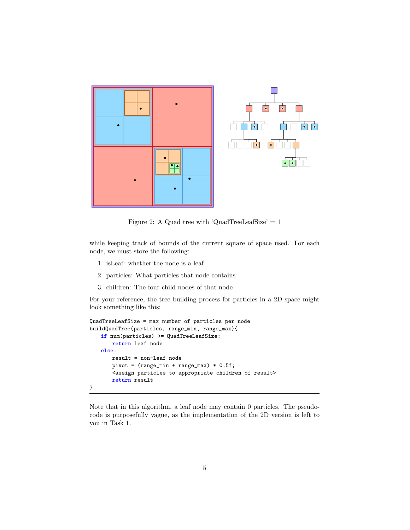

Figure 2: A Quad tree with 'QuadTreeLeafSize'  $= 1$ 

while keeping track of bounds of the current square of space used. For each node, we must store the following:

- 1. isLeaf: whether the node is a leaf
- 2. particles: What particles that node contains
- 3. children: The four child nodes of that node

For your reference, the tree building process for particles in a 2D space might look something like this:

```
QuadTreeLeafSize = max number of particles per node
buildQuadTree(particles, range_min, range_max){
   if num(particles) >= QuadTreeLeafSize:
       return leaf node
   else:
       result = non-leaf node
       pivot = (range_min + range_max) * 0.5f;
       <assign particles to appropriate children of result>
       return result
}
```
Note that in this algorithm, a leaf node may contain 0 particles. The pseudocode is purposefully vague, as the implementation of the 2D version is left to you in Task 1.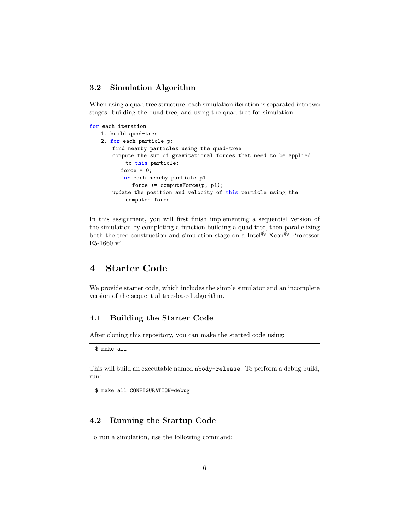#### 3.2 Simulation Algorithm

When using a quad tree structure, each simulation iteration is separated into two stages: building the quad-tree, and using the quad-tree for simulation:

```
for each iteration
   1. build quad-tree
   2. for each particle p:
       find nearby particles using the quad-tree
       compute the sum of gravitational forces that need to be applied
           to this particle:
         force = 0;
          for each nearby particle p1
             force += computeForce(p, p1);
       update the position and velocity of this particle using the
           computed force.
```
In this assignment, you will first finish implementing a sequential version of the simulation by completing a function building a quad tree, then parallelizing both the tree construction and simulation stage on a Intel<sup>®</sup> Xeon<sup>®</sup> Processor E5-1660 v4.

## 4 Starter Code

We provide starter code, which includes the simple simulator and an incomplete version of the sequential tree-based algorithm.

#### 4.1 Building the Starter Code

After cloning this repository, you can make the started code using:

\$ make all

This will build an executable named nbody-release. To perform a debug build, run:

\$ make all CONFIGURATION=debug

#### 4.2 Running the Startup Code

To run a simulation, use the following command: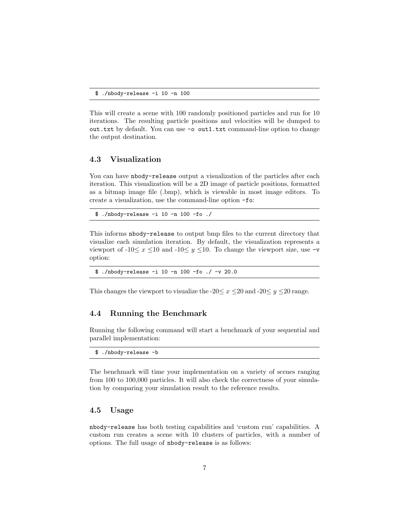This will create a scene with 100 randomly positioned particles and run for 10 iterations. The resulting particle positions and velocities will be dumped to out.txt by default. You can use -o out1.txt command-line option to change the output destination.

#### 4.3 Visualization

You can have nbody-release output a visualization of the particles after each iteration. This visualization will be a 2D image of particle positions, formatted as a bitmap image file (.bmp), which is viewable in most image editors. To create a visualization, use the command-line option -fo:

\$ ./nbody-release -i 10 -n 100 -fo ./

This informs nbody-release to output bmp files to the current directory that visualize each simulation iteration. By default, the visualization represents a viewport of -10 $\leq x \leq 10$  and -10 $\leq y \leq 10$ . To change the viewport size, use -v option:

\$ ./nbody-release -i 10 -n 100 -fo ./ -v 20.0

This changes the viewport to visualize the -20 $\leq x \leq 20$  and -20 $\leq y \leq 20$  range.

#### 4.4 Running the Benchmark

Running the following command will start a benchmark of your sequential and parallel implementation:

\$ ./nbody-release -b

The benchmark will time your implementation on a variety of scenes ranging from 100 to 100,000 particles. It will also check the correctness of your simulation by comparing your simulation result to the reference results.

#### 4.5 Usage

nbody-release has both testing capabilities and 'custom run' capabilities. A custom run creates a scene with 10 clusters of particles, with a number of options. The full usage of nbody-release is as follows: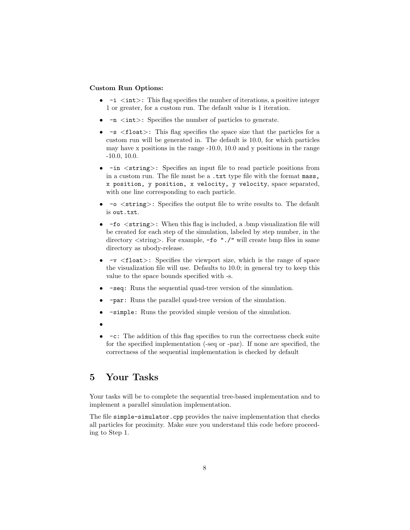#### Custom Run Options:

- $-i$   $\langle$  int $\rangle$ : This flag specifies the number of iterations, a positive integer 1 or greater, for a custom run. The default value is 1 iteration.
- $-\mathbf{n}$   $\langle \text{int} \rangle$ : Specifies the number of particles to generate.
- $-s$  <float>: This flag specifies the space size that the particles for a custom run will be generated in. The default is 10.0, for which particles may have x positions in the range -10.0, 10.0 and y positions in the range -10.0, 10.0.
- $-in <$ string>: Specifies an input file to read particle positions from in a custom run. The file must be a .txt type file with the format mass, x position, y position, x velocity, y velocity, space separated, with one line corresponding to each particle.
- -o <string>: Specifies the output file to write results to. The default is out.txt.
- -fo  $\leq$ string>: When this flag is included, a .bmp visualization file will be created for each step of the simulation, labeled by step number, in the directory  $\langle$ string $\rangle$ . For example, -fo "./" will create bmp files in same directory as nbody-release.
- $-v \leq f$ loat>: Specifies the viewport size, which is the range of space the visualization file will use. Defaults to 10.0; in general try to keep this value to the space bounds specified with -s.
- -seq: Runs the sequential quad-tree version of the simulation.
- -par: Runs the parallel quad-tree version of the simulation.
- -simple: Runs the provided simple version of the simulation.
- •
- -c: The addition of this flag specifies to run the correctness check suite for the specified implementation (-seq or -par). If none are specified, the correctness of the sequential implementation is checked by default

# 5 Your Tasks

Your tasks will be to complete the sequential tree-based implementation and to implement a parallel simulation implementation.

The file simple-simulator.cpp provides the naive implementation that checks all particles for proximity. Make sure you understand this code before proceeding to Step 1.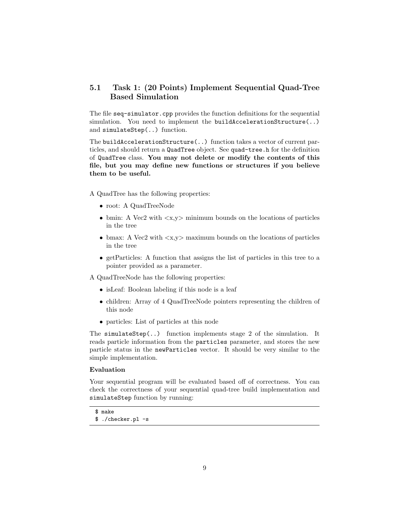#### 5.1 Task 1: (20 Points) Implement Sequential Quad-Tree Based Simulation

The file seq-simulator.cpp provides the function definitions for the sequential simulation. You need to implement the buildAccelerationStructure(..) and simulateStep(..) function.

The buildAccelerationStructure(..) function takes a vector of current particles, and should return a QuadTree object. See quad-tree.h for the definition of QuadTree class. You may not delete or modify the contents of this file, but you may define new functions or structures if you believe them to be useful.

A QuadTree has the following properties:

- root: A QuadTreeNode
- bmin: A Vec2 with  $\langle x, y \rangle$  minimum bounds on the locations of particles in the tree
- bmax: A Vec2 with  $\langle x, y \rangle$  maximum bounds on the locations of particles in the tree
- getParticles: A function that assigns the list of particles in this tree to a pointer provided as a parameter.

A QuadTreeNode has the following properties:

- isLeaf: Boolean labeling if this node is a leaf
- children: Array of 4 QuadTreeNode pointers representing the children of this node
- particles: List of particles at this node

The simulateStep $(.)$  function implements stage 2 of the simulation. It reads particle information from the particles parameter, and stores the new particle status in the newParticles vector. It should be very similar to the simple implementation.

#### Evaluation

Your sequential program will be evaluated based off of correctness. You can check the correctness of your sequential quad-tree build implementation and simulateStep function by running:

<sup>\$</sup> make

<sup>\$ ./</sup>checker.pl -s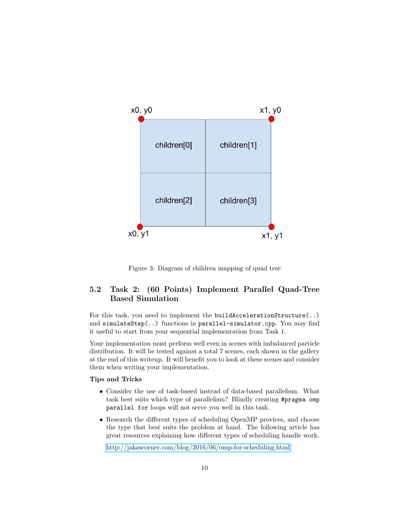

Figure 3: Diagram of children mapping of quad tree

### 5.2 Task 2: (60 Points) Implement Parallel Quad-Tree Based Simulation

For this task, you need to implement the buildAccelerationStructure(..) and simulateStep(..) functions in parallel-simulator.cpp. You may find it useful to start from your sequential implementation from Task 1.

Your implementation must perform well even in scenes with imbalanced particle distribution. It will be tested against a total 7 scenes, each shown in the gallery at the end of this writeup. It will benefit you to look at these scenes and consider them when writing your implementation.

#### Tips and Tricks

- Consider the use of task-based instead of data-based parallelism. What task best suits which type of parallelism? Blindly creating #pragma omp parallel for loops will not serve you well in this task.
- Research the different types of scheduling OpenMP provices, and choose the type that best suits the problem at hand. The following article has great resources explaining how different types of scheduling handle work.

<http://jakascorner.com/blog/2016/06/omp-for-scheduling.html>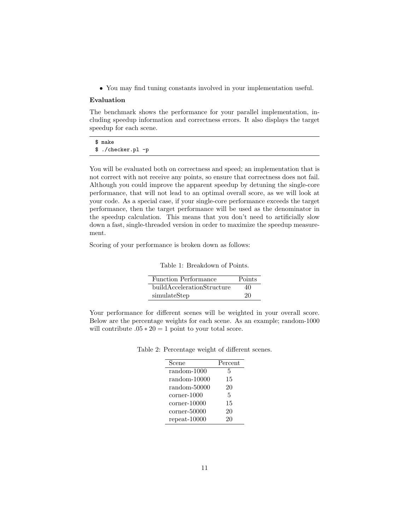• You may find tuning constants involved in your implementation useful.

#### Evaluation

The benchmark shows the performance for your parallel implementation, including speedup information and correctness errors. It also displays the target speedup for each scene.

\$ make \$ ./checker.pl -p

You will be evaluated both on correctness and speed; an implementation that is not correct with not receive any points, so ensure that correctness does not fail. Although you could improve the apparent speedup by detuning the single-core performance, that will not lead to an optimal overall score, as we will look at your code. As a special case, if your single-core performance exceeds the target performance, then the target performance will be used as the denominator in the speedup calculation. This means that you don't need to artificially slow down a fast, single-threaded version in order to maximize the speedup measurement.

Scoring of your performance is broken down as follows:

Table 1: Breakdown of Points.

| Function Performance       | Points |
|----------------------------|--------|
| buildAccelerationStructure | 40     |
| simulateStep               | 20     |

Your performance for different scenes will be weighted in your overall score. Below are the percentage weights for each scene. As an example; random-1000 will contribute  $.05 * 20 = 1$  point to your total score.

Table 2: Percentage weight of different scenes.

| Scene                     | Percent |
|---------------------------|---------|
| random-1000               | 5       |
| $random-10000$            | 15      |
| random-50000              | 20      |
| $\rm corner\text{-}1000$  | 5       |
| $\rm corner\text{-}10000$ | 15      |
| $corner-50000$            | 20      |
| $repeat-10000$            | 20      |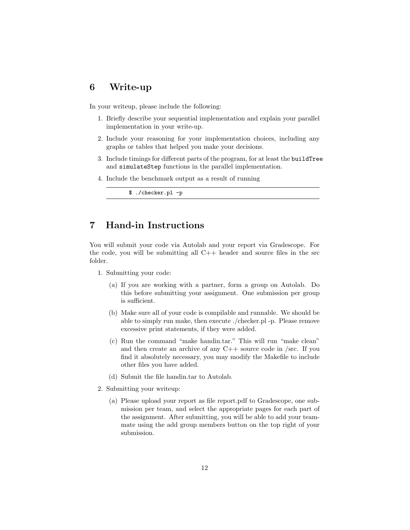## 6 Write-up

In your writeup, please include the following:

- 1. Briefly describe your sequential implementation and explain your parallel implementation in your write-up.
- 2. Include your reasoning for your implementation choices, including any graphs or tables that helped you make your decisions.
- 3. Include timings for different parts of the program, for at least the buildTree and simulateStep functions in the parallel implementation.
- 4. Include the benchmark output as a result of running

```
$ ./checker.pl -p
```
# 7 Hand-in Instructions

You will submit your code via Autolab and your report via Gradescope. For the code, you will be submitting all C++ header and source files in the src folder.

- 1. Submitting your code:
	- (a) If you are working with a partner, form a group on Autolab. Do this before submitting your assignment. One submission per group is sufficient.
	- (b) Make sure all of your code is compilable and runnable. We should be able to simply run make, then execute ./checker.pl -p. Please remove excessive print statements, if they were added.
	- (c) Run the command "make handin.tar." This will run "make clean" and then create an archive of any  $C++$  source code in /src. If you find it absolutely necessary, you may modify the Makefile to include other files you have added.
	- (d) Submit the file handin.tar to Autolab.
- 2. Submitting your writeup:
	- (a) Please upload your report as file report.pdf to Gradescope, one submission per team, and select the appropriate pages for each part of the assignment. After submitting, you will be able to add your teammate using the add group members button on the top right of your submission.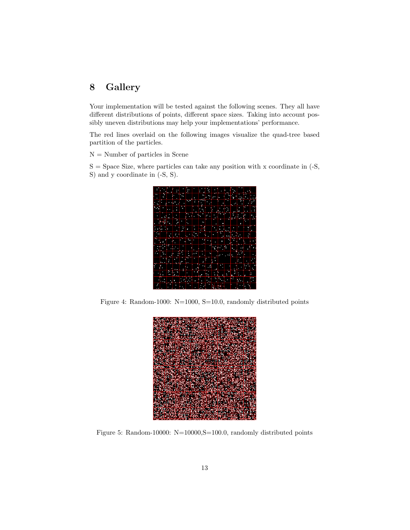# 8 Gallery

Your implementation will be tested against the following scenes. They all have different distributions of points, different space sizes. Taking into account possibly uneven distributions may help your implementations' performance.

The red lines overlaid on the following images visualize the quad-tree based partition of the particles.

N = Number of particles in Scene

 $S =$  Space Size, where particles can take any position with x coordinate in  $(-S, \mathcal{L})$ S) and y coordinate in (-S, S).



Figure 4: Random-1000: N=1000, S=10.0, randomly distributed points



Figure 5: Random-10000: N=10000,S=100.0, randomly distributed points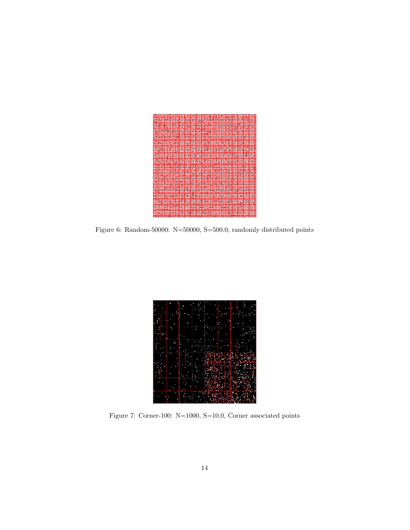

Figure 6: Random-50000: N=50000, S=500.0, randomly distributed points



Figure 7: Corner-100: N=1000, S=10.0, Corner associated points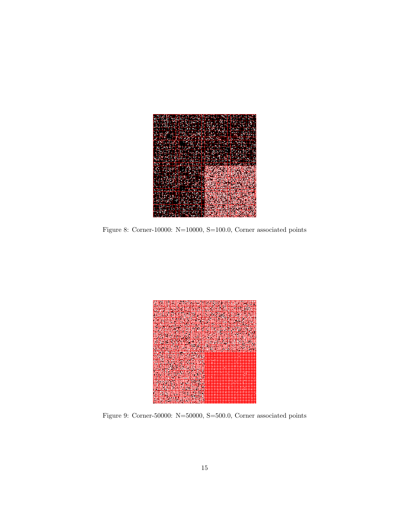

Figure 8: Corner-10000: N=10000, S=100.0, Corner associated points



Figure 9: Corner-50000:  $\mathrm{N}{=}50000,\,\mathrm{S}{=}500.0,\,\mathrm{Corner}$  associated points